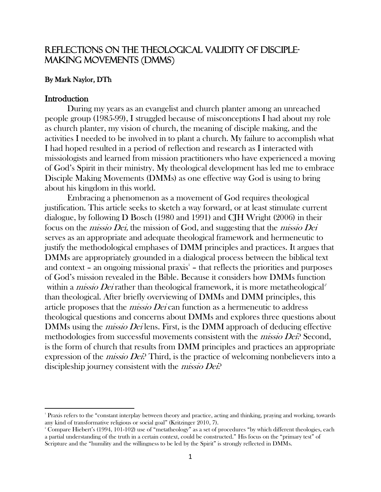# Reflections on the Theological Validity of Disciple-Making Movements (DMMs)

### By Mark Naylor, DTh

### **Introduction**

During my years as an evangelist and church planter among an unreached people group (1985-99), I struggled because of misconceptions I had about my role as church planter, my vision of church, the meaning of disciple making, and the activities I needed to be involved in to plant a church. My failure to accomplish what I had hoped resulted in a period of reflection and research as I interacted with missiologists and learned from mission practitioners who have experienced a moving of God's Spirit in their ministry. My theological development has led me to embrace Disciple Making Movements (DMMs) as one effective way God is using to bring about his kingdom in this world.

Embracing a phenomenon as a movement of God requires theological justification. This article seeks to sketch a way forward, or at least stimulate current dialogue, by following D Bosch (1980 and 1991) and CJH Wright (2006) in their focus on the missio Dei, the mission of God, and suggesting that the missio Dei serves as an appropriate and adequate theological framework and hermeneutic to justify the methodological emphases of DMM principles and practices. It argues that DMMs are appropriately grounded in a dialogical process between the biblical text and context  $-$  an ongoing missional praxis $<sup>1</sup>$   $-$  that reflects the priorities and purposes</sup> of God's mission revealed in the Bible. Because it considers how DMMs function within a *missio Dei* rather than theological framework, it is more metatheological<sup>2</sup> than theological. After briefly overviewing of DMMs and DMM principles, this article proposes that the *missio Dei* can function as a hermeneutic to address theological questions and concerns about DMMs and explores three questions about DMMs using the *missio Dei* lens. First, is the DMM approach of deducing effective methodologies from successful movements consistent with the *missio Dei*? Second, is the form of church that results from DMM principles and practices an appropriate expression of the *missio Dei*? Third, is the practice of welcoming nonbelievers into a discipleship journey consistent with the *missio Dei*?

<sup>1</sup> Praxis refers to the "constant interplay between theory and practice, acting and thinking, praying and working, towards any kind of transformative religious or social goal" (Kritzinger 2010, 7).

<sup>&</sup>lt;sup>2</sup> Compare Hiebert's (1994, 101-102) use of "metatheology" as a set of procedures "by which different theologies, each a partial understanding of the truth in a certain context, could be constructed." His focus on the "primary test" of Scripture and the "humility and the willingness to be led by the Spirit" is strongly reflected in DMMs.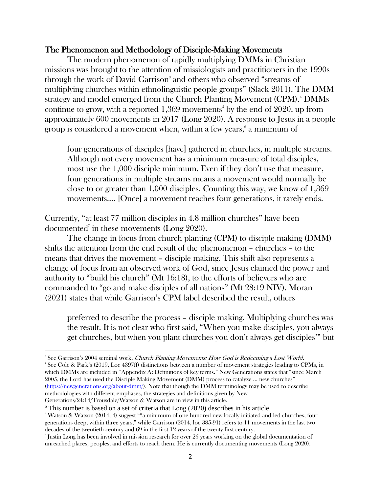### The Phenomenon and Methodology of Disciple-Making Movements

The modern phenomenon of rapidly multiplying DMMs in Christian missions was brought to the attention of missiologists and practitioners in the 1990s through the work of David Garrison<sup>3</sup> and others who observed "streams of multiplying churches within ethnolinguistic people groups" (Slack 2011). The DMM strategy and model emerged from the Church Planting Movement (CPM).<sup>4</sup> DMMs continue to grow, with a reported  $1,369$  movements<sup>5</sup> by the end of  $2020$ , up from approximately 600 movements in 2017 (Long 2020). A response to Jesus in a people group is considered a movement when, within a few years, $\degree$  a minimum of

four generations of disciples [have] gathered in churches, in multiple streams. Although not every movement has a minimum measure of total disciples, most use the 1,000 disciple minimum. Even if they don't use that measure, four generations in multiple streams means a movement would normally be close to or greater than 1,000 disciples. Counting this way, we know of 1,369 movements…. [Once] a movement reaches four generations, it rarely ends.

Currently, "at least 77 million disciples in 4.8 million churches" have been documented<sup> $\tau$ </sup> in these movements (Long 2020).

The change in focus from church planting (CPM) to disciple making (DMM) shifts the attention from the end result of the phenomenon – churches – to the means that drives the movement – disciple making. This shift also represents a change of focus from an observed work of God, since Jesus claimed the power and authority to "build his church" (Mt 16:18), to the efforts of believers who are commanded to "go and make disciples of all nations" (Mt 28:19 NIV). Moran (2021) states that while Garrison's CPM label described the result, others

preferred to describe the process – disciple making. Multiplying churches was the result. It is not clear who first said, "When you make disciples, you always get churches, but when you plant churches you don't always get disciples'" but

4 See Cole & Park's (2019, Loc 4397ff) distinctions between a number of movement strategies leading to CPMs, in which DMMs are included in "Appendix A: Definitions of key terms." New Generations states that "since March 2005, the Lord has used the Disciple Making Movement (DMM) process to catalyze … new churches" [\(https://newgenerations.org/about-dmm/\)](https://newgenerations.org/about-dmm/). Note that though the DMM terminology may be used to describe methodologies with different emphases, the strategies and definitions given by New Generations/24:14/Trousdale/Watson & Watson are in view in this article.

<sup>5</sup> This number is based on a set of criteria that Long (2020) describes in his article.

<sup>&</sup>lt;sup>3</sup> See Garrison's 2004 seminal work, *Church Planting Movements: How God is Redeeming a Lost World.* 

<sup>6</sup> Watson & Watson (2014, 4) suggest ""a minimum of one hundred new locally initiated and led churches, four generations deep, within three years," while Garrison (2014, loc 385-91) refers to 11 movements in the last two decades of the twentieth century and 69 in the first 12 years of the twenty-first century.

<sup>7</sup> Justin Long has been involved in mission research for over 25 years working on the global documentation of unreached places, peoples, and efforts to reach them. He is currently documenting movements (Long 2020).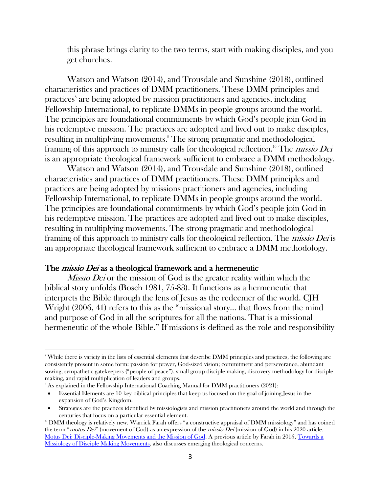this phrase brings clarity to the two terms, start with making disciples, and you get churches.

Watson and Watson (2014), and Trousdale and Sunshine (2018), outlined characteristics and practices of DMM practitioners. These DMM principles and practices<sup>8</sup> are being adopted by mission practitioners and agencies, including Fellowship International, to replicate DMMs in people groups around the world. The principles are foundational commitments by which God's people join God in his redemptive mission. The practices are adopted and lived out to make disciples, resulting in multiplying movements. <sup>9</sup> The strong pragmatic and methodological framing of this approach to ministry calls for theological reflection.<sup>10</sup> The *missio Dei* is an appropriate theological framework sufficient to embrace a DMM methodology.

Watson and Watson (2014), and Trousdale and Sunshine (2018), outlined characteristics and practices of DMM practitioners. These DMM principles and practices are being adopted by missions practitioners and agencies, including Fellowship International, to replicate DMMs in people groups around the world. The principles are foundational commitments by which God's people join God in his redemptive mission. The practices are adopted and lived out to make disciples, resulting in multiplying movements. The strong pragmatic and methodological framing of this approach to ministry calls for theological reflection. The *missio Dei* is an appropriate theological framework sufficient to embrace a DMM methodology.

### The *missio Dei* as a theological framework and a hermeneutic

*Missio Dei* or the mission of God is the greater reality within which the biblical story unfolds (Bosch 1981, 75-83). It functions as a hermeneutic that interprets the Bible through the lens of Jesus as the redeemer of the world. CJH Wright (2006, 41) refers to this as the "missional story… that flows from the mind and purpose of God in all the scriptures for all the nations. That is a missional hermeneutic of the whole Bible." If missions is defined as the role and responsibility

<sup>&</sup>lt;sup>8</sup> While there is variety in the lists of essential elements that describe DMM principles and practices, the following are consistently present in some form: passion for prayer, God-sized vision; commitment and perseverance, abundant sowing, sympathetic gatekeepers ("people of peace"), small group disciple making, discovery methodology for disciple making, and rapid multiplication of leaders and groups.

<sup>9</sup> As explained in the Fellowship International Coaching Manual for DMM practitioners (2021):

<sup>•</sup> Essential Elements are 10 key biblical principles that keep us focused on the goal of joining Jesus in the expansion of God's Kingdom.

<sup>•</sup> Strategies are the practices identified by missiologists and mission practitioners around the world and through the centuries that focus on a particular essential element.

<sup>&</sup>lt;sup>10</sup> DMM theology is relatively new. Warrick Farah offers "a constructive appraisal of DMM missiology" and has coined the term "*motus Dei*" (movement of God) as an expression of the *missio Dei* (mission of God) in his 2020 article, [Motus Dei: Disciple-Making Movements and the Mission of God.](http://ojs.globalmissiology.org/index.php/english/article/view/2309) A previous article by Farah in 2015, [Towards a](http://muslimministry.blogspot.com/2015/11/towards-missiology-of-disciple-making.html)  [Missiology of Disciple Making Movements,](http://muslimministry.blogspot.com/2015/11/towards-missiology-of-disciple-making.html) also discusses emerging theological concerns.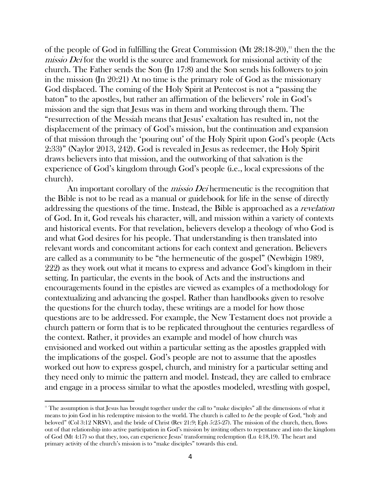of the people of God in fulfilling the Great Commission (Mt 28:18-20),<sup>11</sup> then the the missio Dei for the world is the source and framework for missional activity of the church. The Father sends the Son (Jn 17:8) and the Son sends his followers to join in the mission (Jn 20:21) At no time is the primary role of God as the missionary God displaced. The coming of the Holy Spirit at Pentecost is not a "passing the baton" to the apostles, but rather an affirmation of the believers' role in God's mission and the sign that Jesus was in them and working through them. The "resurrection of the Messiah means that Jesus' exaltation has resulted in, not the displacement of the primacy of God's mission, but the continuation and expansion of that mission through the 'pouring out' of the Holy Spirit upon God's people (Acts 2:33)" (Naylor 2013, 242). God is revealed in Jesus as redeemer, the Holy Spirit draws believers into that mission, and the outworking of that salvation is the experience of God's kingdom through God's people (i.e., local expressions of the church).

An important corollary of the *missio Dei* hermeneutic is the recognition that the Bible is not to be read as a manual or guidebook for life in the sense of directly addressing the questions of the time. Instead, the Bible is approached as a *revelation* of God. In it, God reveals his character, will, and mission within a variety of contexts and historical events. For that revelation, believers develop a theology of who God is and what God desires for his people. That understanding is then translated into relevant words and concomitant actions for each context and generation. Believers are called as a community to be "the hermeneutic of the gospel" (Newbigin 1989, 222) as they work out what it means to express and advance God's kingdom in their setting. In particular, the events in the book of Acts and the instructions and encouragements found in the epistles are viewed as examples of a methodology for contextualizing and advancing the gospel. Rather than handbooks given to resolve the questions for the church today, these writings are a model for how those questions are to be addressed. For example, the New Testament does not provide a church pattern or form that is to be replicated throughout the centuries regardless of the context. Rather, it provides an example and model of how church was envisioned and worked out within a particular setting as the apostles grappled with the implications of the gospel. God's people are not to assume that the apostles worked out how to express gospel, church, and ministry for a particular setting and they need only to mimic the pattern and model. Instead, they are called to embrace and engage in a process similar to what the apostles modeled, wrestling with gospel,

<sup>&</sup>lt;sup>11</sup> The assumption is that Jesus has brought together under the call to "make disciples" all the dimensions of what it means to join God in his redemptive mission to the world. The church is called to be the people of God, "holy and beloved" (Col 3:12 NRSV), and the bride of Christ (Rev 21:9; Eph 5:25-27). The mission of the church, then, flows out of that relationship into active participation in God's mission by inviting others to repentance and into the kingdom of God (Mt 4:17) so that they, too, can experience Jesus' transforming redemption (Lu 4:18,19). The heart and primary activity of the church's mission is to "make disciples" towards this end.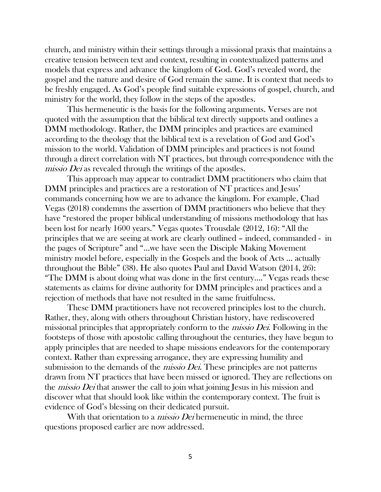church, and ministry within their settings through a missional praxis that maintains a creative tension between text and context, resulting in contextualized patterns and models that express and advance the kingdom of God. God's revealed word, the gospel and the nature and desire of God remain the same. It is context that needs to be freshly engaged. As God's people find suitable expressions of gospel, church, and ministry for the world, they follow in the steps of the apostles.

This hermeneutic is the basis for the following arguments. Verses are not quoted with the assumption that the biblical text directly supports and outlines a DMM methodology. Rather, the DMM principles and practices are examined according to the theology that the biblical text is a revelation of God and God's mission to the world. Validation of DMM principles and practices is not found through a direct correlation with NT practices, but through correspondence with the missio Dei as revealed through the writings of the apostles.

This approach may appear to contradict DMM practitioners who claim that DMM principles and practices are a restoration of NT practices and Jesus' commands concerning how we are to advance the kingdom. For example, Chad Vegas (2018) condemns the assertion of DMM practitioners who believe that they have "restored the proper biblical understanding of missions methodology that has been lost for nearly 1600 years." Vegas quotes Trousdale (2012, 16): "All the principles that we are seeing at work are clearly outlined – indeed, commanded - in the pages of Scripture" and "…we have seen the Disciple Making Movement ministry model before, especially in the Gospels and the book of Acts … actually throughout the Bible" (38). He also quotes Paul and David Watson (2014, 26): "The DMM is about doing what was done in the first century…." Vegas reads these statements as claims for divine authority for DMM principles and practices and a rejection of methods that have not resulted in the same fruitfulness.

These DMM practitioners have not recovered principles lost to the church. Rather, they, along with others throughout Christian history, have rediscovered missional principles that appropriately conform to the *missio Dei*. Following in the footsteps of those with apostolic calling throughout the centuries, they have begun to apply principles that are needed to shape missions endeavors for the contemporary context. Rather than expressing arrogance, they are expressing humility and submission to the demands of the *missio Dei*. These principles are not patterns drawn from NT practices that have been missed or ignored. They are reflections on the *missio Dei* that answer the call to join what joining Jesus in his mission and discover what that should look like within the contemporary context. The fruit is evidence of God's blessing on their dedicated pursuit.

With that orientation to a *missio Dei* hermeneutic in mind, the three questions proposed earlier are now addressed.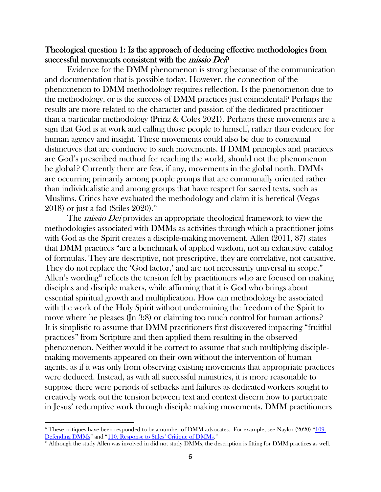### Theological question 1: Is the approach of deducing effective methodologies from successful movements consistent with the *missio Dei*?

Evidence for the DMM phenomenon is strong because of the communication and documentation that is possible today. However, the connection of the phenomenon to DMM methodology requires reflection. Is the phenomenon due to the methodology, or is the success of DMM practices just coincidental? Perhaps the results are more related to the character and passion of the dedicated practitioner than a particular methodology (Prinz & Coles 2021). Perhaps these movements are a sign that God is at work and calling those people to himself, rather than evidence for human agency and insight. These movements could also be due to contextual distinctives that are conducive to such movements. If DMM principles and practices are God's prescribed method for reaching the world, should not the phenomenon be global? Currently there are few, if any, movements in the global north. DMMs are occurring primarily among people groups that are communally oriented rather than individualistic and among groups that have respect for sacred texts, such as Muslims. Critics have evaluated the methodology and claim it is heretical (Vegas 2018) or just a fad (Stiles 2020). 12

The *missio Dei* provides an appropriate theological framework to view the methodologies associated with DMMs as activities through which a practitioner joins with God as the Spirit creates a disciple-making movement. Allen (2011, 87) states that DMM practices "are a benchmark of applied wisdom, not an exhaustive catalog of formulas. They are descriptive, not prescriptive, they are correlative, not causative. They do not replace the 'God factor,' and are not necessarily universal in scope." Allen's wording<sup>13</sup> reflects the tension felt by practitioners who are focused on making disciples and disciple makers, while affirming that it is God who brings about essential spiritual growth and multiplication. How can methodology be associated with the work of the Holy Spirit without undermining the freedom of the Spirit to move where he pleases (Jn 3:8) or claiming too much control for human actions? It is simplistic to assume that DMM practitioners first discovered impacting "fruitful practices" from Scripture and then applied them resulting in the observed phenomenon. Neither would it be correct to assume that such multiplying disciplemaking movements appeared on their own without the intervention of human agents, as if it was only from observing existing movements that appropriate practices were deduced. Instead, as with all successful ministries, it is more reasonable to suppose there were periods of setbacks and failures as dedicated workers sought to creatively work out the tension between text and context discern how to participate in Jesus' redemptive work through disciple making movements. DMM practitioners

<sup>&</sup>lt;sup>12</sup> These critiques have been responded to by a number of DMM advocates. For example, see Naylor (2020) "109. [Defending DMMs](http://impact.nbseminary.com/109-defending-dmms/)" and ["110. Response to Stiles' Crit](http://impact.nbseminary.com/110-response-to-stiles-critique-of-dmms/)ique of DMMs."

<sup>&</sup>lt;sup>13</sup> Although the study Allen was involved in did not study DMMs, the description is fitting for DMM practices as well.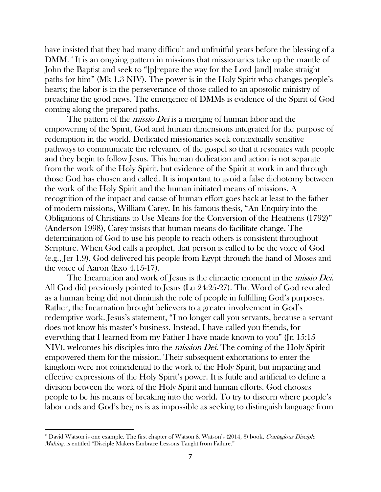have insisted that they had many difficult and unfruitful years before the blessing of a DMM.<sup>14</sup> It is an ongoing pattern in missions that missionaries take up the mantle of John the Baptist and seek to "[p]repare the way for the Lord [and] make straight paths for him" (Mk 1.3 NIV). The power is in the Holy Spirit who changes people's hearts; the labor is in the perseverance of those called to an apostolic ministry of preaching the good news. The emergence of DMMs is evidence of the Spirit of God coming along the prepared paths.

The pattern of the *missio Dei* is a merging of human labor and the empowering of the Spirit, God and human dimensions integrated for the purpose of redemption in the world. Dedicated missionaries seek contextually sensitive pathways to communicate the relevance of the gospel so that it resonates with people and they begin to follow Jesus. This human dedication and action is not separate from the work of the Holy Spirit, but evidence of the Spirit at work in and through those God has chosen and called. It is important to avoid a false dichotomy between the work of the Holy Spirit and the human initiated means of missions. A recognition of the impact and cause of human effort goes back at least to the father of modern missions, William Carey. In his famous thesis, "An Enquiry into the Obligations of Christians to Use Means for the Conversion of the Heathens (1792)" (Anderson 1998), Carey insists that human means do facilitate change. The determination of God to use his people to reach others is consistent throughout Scripture. When God calls a prophet, that person is called to be the voice of God (e.g., Jer 1.9). God delivered his people from Egypt through the hand of Moses and the voice of Aaron (Exo 4.15-17).

The Incarnation and work of Jesus is the climactic moment in the *missio Dei*. All God did previously pointed to Jesus (Lu 24:25-27). The Word of God revealed as a human being did not diminish the role of people in fulfilling God's purposes. Rather, the Incarnation brought believers to a greater involvement in God's redemptive work. Jesus's statement, "I no longer call you servants, because a servant does not know his master's business. Instead, I have called you friends, for everything that I learned from my Father I have made known to you" (Jn 15:15 NIV). welcomes his disciples into the mission Dei. The coming of the Holy Spirit empowered them for the mission. Their subsequent exhortations to enter the kingdom were not coincidental to the work of the Holy Spirit, but impacting and effective expressions of the Holy Spirit's power. It is futile and artificial to define a division between the work of the Holy Spirit and human efforts. God chooses people to be his means of breaking into the world. To try to discern where people's labor ends and God's begins is as impossible as seeking to distinguish language from

<sup>&</sup>lt;sup>14</sup> David Watson is one example. The first chapter of Watson & Watson's (2014, 3) book, Contagious Disciple Making, is entitled "Disciple Makers Embrace Lessons Taught from Failure."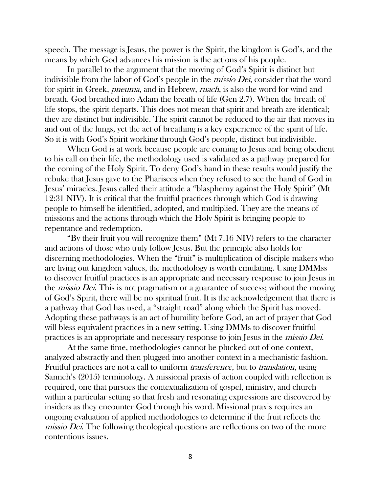speech. The message is Jesus, the power is the Spirit, the kingdom is God's, and the means by which God advances his mission is the actions of his people.

In parallel to the argument that the moving of God's Spirit is distinct but indivisible from the labor of God's people in the missio Dei, consider that the word for spirit in Greek, pneuma, and in Hebrew, ruach, is also the word for wind and breath. God breathed into Adam the breath of life (Gen 2.7). When the breath of life stops, the spirit departs. This does not mean that spirit and breath are identical; they are distinct but indivisible. The spirit cannot be reduced to the air that moves in and out of the lungs, yet the act of breathing is a key experience of the spirit of life. So it is with God's Spirit working through God's people, distinct but indivisible.

When God is at work because people are coming to Jesus and being obedient to his call on their life, the methodology used is validated as a pathway prepared for the coming of the Holy Spirit. To deny God's hand in these results would justify the rebuke that Jesus gave to the Pharisees when they refused to see the hand of God in Jesus' miracles. Jesus called their attitude a "blasphemy against the Holy Spirit" (Mt 12:31 NIV). It is critical that the fruitful practices through which God is drawing people to himself be identified, adopted, and multiplied. They are the means of missions and the actions through which the Holy Spirit is bringing people to repentance and redemption.

"By their fruit you will recognize them" (Mt 7.16 NIV) refers to the character and actions of those who truly follow Jesus. But the principle also holds for discerning methodologies. When the "fruit" is multiplication of disciple makers who are living out kingdom values, the methodology is worth emulating. Using DMMss to discover fruitful practices is an appropriate and necessary response to join Jesus in the *missio Dei*. This is not pragmatism or a guarantee of success; without the moving of God's Spirit, there will be no spiritual fruit. It is the acknowledgement that there is a pathway that God has used, a "straight road" along which the Spirit has moved. Adopting these pathways is an act of humility before God, an act of prayer that God will bless equivalent practices in a new setting. Using DMMs to discover fruitful practices is an appropriate and necessary response to join Jesus in the missio Dei.

At the same time, methodologies cannot be plucked out of one context, analyzed abstractly and then plugged into another context in a mechanistic fashion. Fruitful practices are not a call to uniform *transference*, but to *translation*, using Sanneh's (2015) terminology. A missional praxis of action coupled with reflection is required, one that pursues the contextualization of gospel, ministry, and church within a particular setting so that fresh and resonating expressions are discovered by insiders as they encounter God through his word. Missional praxis requires an ongoing evaluation of applied methodologies to determine if the fruit reflects the *missio Dei*. The following theological questions are reflections on two of the more contentious issues.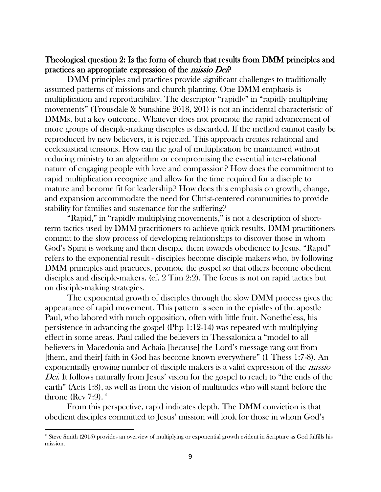### Theological question 2: Is the form of church that results from DMM principles and practices an appropriate expression of the missio Dei?

DMM principles and practices provide significant challenges to traditionally assumed patterns of missions and church planting. One DMM emphasis is multiplication and reproducibility. The descriptor "rapidly" in "rapidly multiplying movements" (Trousdale & Sunshine 2018, 201) is not an incidental characteristic of DMMs, but a key outcome. Whatever does not promote the rapid advancement of more groups of disciple-making disciples is discarded. If the method cannot easily be reproduced by new believers, it is rejected. This approach creates relational and ecclesiastical tensions. How can the goal of multiplication be maintained without reducing ministry to an algorithm or compromising the essential inter-relational nature of engaging people with love and compassion? How does the commitment to rapid multiplication recognize and allow for the time required for a disciple to mature and become fit for leadership? How does this emphasis on growth, change, and expansion accommodate the need for Christ-centered communities to provide stability for families and sustenance for the suffering?

"Rapid," in "rapidly multiplying movements," is not a description of shortterm tactics used by DMM practitioners to achieve quick results. DMM practitioners commit to the slow process of developing relationships to discover those in whom God's Spirit is working and then disciple them towards obedience to Jesus. "Rapid" refers to the exponential result - disciples become disciple makers who, by following DMM principles and practices, promote the gospel so that others become obedient disciples and disciple-makers. (cf. 2 Tim 2:2). The focus is not on rapid tactics but on disciple-making strategies.

The exponential growth of disciples through the slow DMM process gives the appearance of rapid movement. This pattern is seen in the epistles of the apostle Paul, who labored with much opposition, often with little fruit. Nonetheless, his persistence in advancing the gospel (Php 1:12-14) was repeated with multiplying effect in some areas. Paul called the believers in Thessalonica a "model to all believers in Macedonia and Achaia [because] the Lord's message rang out from [them, and their] faith in God has become known everywhere" (1 Thess 1:7-8). An exponentially growing number of disciple makers is a valid expression of the missio Dei. It follows naturally from Jesus' vision for the gospel to reach to "the ends of the earth" (Acts 1:8), as well as from the vision of multitudes who will stand before the throne (Rev  $7:9$ ).<sup>15</sup>

From this perspective, rapid indicates depth. The DMM conviction is that obedient disciples committed to Jesus' mission will look for those in whom God's

<sup>&</sup>lt;sup>15</sup> Steve Smith (2015) provides an overview of multiplying or exponential growth evident in Scripture as God fulfills his mission.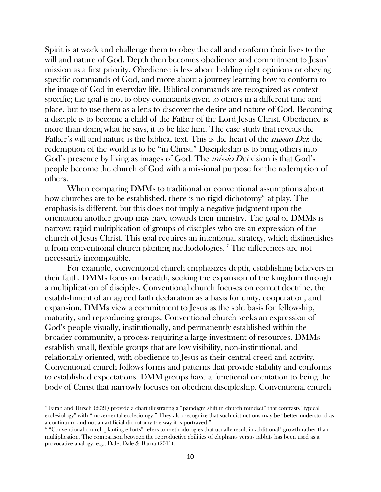Spirit is at work and challenge them to obey the call and conform their lives to the will and nature of God. Depth then becomes obedience and commitment to Jesus' mission as a first priority. Obedience is less about holding right opinions or obeying specific commands of God, and more about a journey learning how to conform to the image of God in everyday life. Biblical commands are recognized as context specific; the goal is not to obey commands given to others in a different time and place, but to use them as a lens to discover the desire and nature of God. Becoming a disciple is to become a child of the Father of the Lord Jesus Christ. Obedience is more than doing what he says, it to be like him. The case study that reveals the Father's will and nature is the biblical text. This is the heart of the *missio Dei*: the redemption of the world is to be "in Christ." Discipleship is to bring others into God's presence by living as images of God. The *missio Dei* vision is that God's people become the church of God with a missional purpose for the redemption of others.

When comparing DMMs to traditional or conventional assumptions about how churches are to be established, there is no rigid dichotomy<sup>16</sup> at play. The emphasis is different, but this does not imply a negative judgment upon the orientation another group may have towards their ministry. The goal of DMMs is narrow: rapid multiplication of groups of disciples who are an expression of the church of Jesus Christ. This goal requires an intentional strategy, which distinguishes it from conventional church planting methodologies.<sup>17</sup> The differences are not necessarily incompatible.

For example, conventional church emphasizes depth, establishing believers in their faith. DMMs focus on breadth, seeking the expansion of the kingdom through a multiplication of disciples. Conventional church focuses on correct doctrine, the establishment of an agreed faith declaration as a basis for unity, cooperation, and expansion. DMMs view a commitment to Jesus as the sole basis for fellowship, maturity, and reproducing groups. Conventional church seeks an expression of God's people visually, institutionally, and permanently established within the broader community, a process requiring a large investment of resources. DMMs establish small, flexible groups that are low visibility, non-institutional, and relationally oriented, with obedience to Jesus as their central creed and activity. Conventional church follows forms and patterns that provide stability and conforms to established expectations. DMM groups have a functional orientation to being the body of Christ that narrowly focuses on obedient discipleship. Conventional church

 $16$  Farah and Hirsch (2021) provide a chart illustrating a "paradigm shift in church mindset" that contrasts "typical ecclesiology" with "movemental ecclesiology." They also recognize that such distinctions may be "better understood as a continuum and not an artificial dichotomy the way it is portrayed."

<sup>&</sup>lt;sup>17</sup> "Conventional church planting efforts" refers to methodologies that usually result in additional" growth rather than multiplication. The comparison between the reproductive abilities of elephants versus rabbits has been used as a provocative analogy, e.g., Dale, Dale & Barna (2011).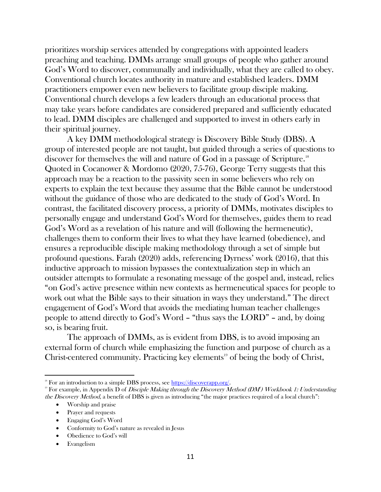prioritizes worship services attended by congregations with appointed leaders preaching and teaching. DMMs arrange small groups of people who gather around God's Word to discover, communally and individually, what they are called to obey. Conventional church locates authority in mature and established leaders. DMM practitioners empower even new believers to facilitate group disciple making. Conventional church develops a few leaders through an educational process that may take years before candidates are considered prepared and sufficiently educated to lead. DMM disciples are challenged and supported to invest in others early in their spiritual journey.

A key DMM methodological strategy is Discovery Bible Study (DBS). A group of interested people are not taught, but guided through a series of questions to discover for themselves the will and nature of God in a passage of Scripture.<sup>18</sup> Quoted in Cocanower & Mordomo (2020, 75-76), George Terry suggests that this approach may be a reaction to the passivity seen in some believers who rely on experts to explain the text because they assume that the Bible cannot be understood without the guidance of those who are dedicated to the study of God's Word. In contrast, the facilitated discovery process, a priority of DMMs, motivates disciples to personally engage and understand God's Word for themselves, guides them to read God's Word as a revelation of his nature and will (following the hermeneutic), challenges them to conform their lives to what they have learned (obedience), and ensures a reproducible disciple making methodology through a set of simple but profound questions. Farah (2020) adds, referencing Dyrness' work (2016), that this inductive approach to mission bypasses the contextualization step in which an outsider attempts to formulate a resonating message of the gospel and, instead, relies "on God's active presence within new contexts as hermeneutical spaces for people to work out what the Bible says to their situation in ways they understand." The direct engagement of God's Word that avoids the mediating human teacher challenges people to attend directly to God's Word – "thus says the LORD" – and, by doing so, is bearing fruit.

The approach of DMMs, as is evident from DBS, is to avoid imposing an external form of church while emphasizing the function and purpose of church as a Christ-centered community. Practicing key elements<sup>19</sup> of being the body of Christ,

- Worship and praise
- Prayer and requests
- Engaging God's Word
- Conformity to God's nature as revealed in Jesus
- Obedience to God's will
- Evangelism

<sup>&</sup>lt;sup>18</sup> For an introduction to a simple DBS process, see https://discoverapp.org/.

<sup>&</sup>lt;sup>9</sup> For example, in Appendix D of *Disciple Making through the Discovery Method (DM)* Workbook 1: Understanding the Discovery Method, a benefit of DBS is given as introducing "the major practices required of a local church":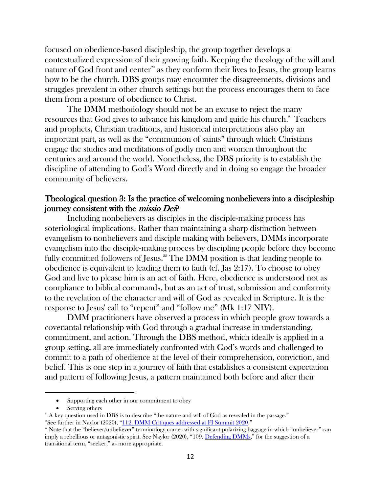focused on obedience-based discipleship, the group together develops a contextualized expression of their growing faith. Keeping the theology of the will and nature of God front and center<sup> $20$ </sup> as they conform their lives to Jesus, the group learns how to be the church. DBS groups may encounter the disagreements, divisions and struggles prevalent in other church settings but the process encourages them to face them from a posture of obedience to Christ.

The DMM methodology should not be an excuse to reject the many resources that God gives to advance his kingdom and guide his church. <sup>21</sup> Teachers and prophets, Christian traditions, and historical interpretations also play an important part, as well as the "communion of saints" through which Christians engage the studies and meditations of godly men and women throughout the centuries and around the world. Nonetheless, the DBS priority is to establish the discipline of attending to God's Word directly and in doing so engage the broader community of believers.

### Theological question 3: Is the practice of welcoming nonbelievers into a discipleship journey consistent with the *missio Dei*?

Including nonbelievers as disciples in the disciple-making process has soteriological implications. Rather than maintaining a sharp distinction between evangelism to nonbelievers and disciple making with believers, DMMs incorporate evangelism into the disciple-making process by discipling people before they become fully committed followers of Jesus.<sup>22</sup> The DMM position is that leading people to obedience is equivalent to leading them to faith (cf. Jas 2:17). To choose to obey God and live to please him is an act of faith. Here, obedience is understood not as compliance to biblical commands, but as an act of trust, submission and conformity to the revelation of the character and will of God as revealed in Scripture. It is the response to Jesus' call to "repent" and "follow me" (Mk 1:17 NIV).

DMM practitioners have observed a process in which people grow towards a covenantal relationship with God through a gradual increase in understanding, commitment, and action. Through the DBS method, which ideally is applied in a group setting, all are immediately confronted with God's words and challenged to commit to a path of obedience at the level of their comprehension, conviction, and belief. This is one step in a journey of faith that establishes a consistent expectation and pattern of following Jesus, a pattern maintained both before and after their

<sup>•</sup> Supporting each other in our commitment to obey

Serving others

 $\alpha$  A key question used in DBS is to describe "the nature and will of God as revealed in the passage."

<sup>&</sup>lt;sup>21</sup>See further in Naylor (2020), "[112. DMM Critiques addressed at FI Summit 2020](http://impact.nbseminary.com/dmm-critiques-addressed-at-fi-summit-2020/)."

<sup>&</sup>lt;sup>22</sup> Note that the "believer/unbeliever" terminology comes with significant polarizing baggage in which "unbeliever" can imply a rebellious or antagonistic spirit. See Naylor (2020), "109. [Defending DMMs,](http://impact.nbseminary.com/109-defending-dmms/)" for the suggestion of a transitional term, "seeker," as more appropriate.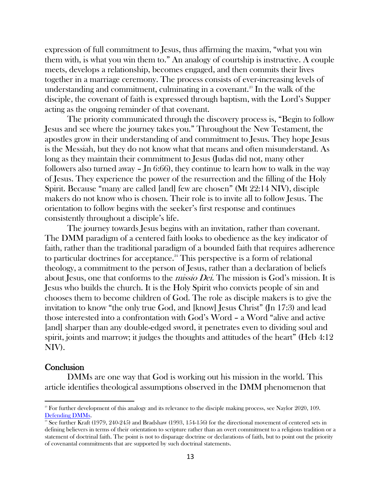expression of full commitment to Jesus, thus affirming the maxim, "what you win them with, is what you win them to." An analogy of courtship is instructive. A couple meets, develops a relationship, becomes engaged, and then commits their lives together in a marriage ceremony. The process consists of ever-increasing levels of understanding and commitment, culminating in a covenant.<sup>23</sup> In the walk of the disciple, the covenant of faith is expressed through baptism, with the Lord's Supper acting as the ongoing reminder of that covenant.

The priority communicated through the discovery process is, "Begin to follow Jesus and see where the journey takes you." Throughout the New Testament, the apostles grow in their understanding of and commitment to Jesus. They hope Jesus is the Messiah, but they do not know what that means and often misunderstand. As long as they maintain their commitment to Jesus (Judas did not, many other followers also turned away  $\overline{-}$  Jn 6:66), they continue to learn how to walk in the way of Jesus. They experience the power of the resurrection and the filling of the Holy Spirit. Because "many are called [and] few are chosen" (Mt 22:14 NIV), disciple makers do not know who is chosen. Their role is to invite all to follow Jesus. The orientation to follow begins with the seeker's first response and continues consistently throughout a disciple's life.

The journey towards Jesus begins with an invitation, rather than covenant. The DMM paradigm of a centered faith looks to obedience as the key indicator of faith, rather than the traditional paradigm of a bounded faith that requires adherence to particular doctrines for acceptance.<sup>24</sup> This perspective is a form of relational theology, a commitment to the person of Jesus, rather than a declaration of beliefs about Jesus, one that conforms to the *missio Dei*. The mission is God's mission. It is Jesus who builds the church. It is the Holy Spirit who convicts people of sin and chooses them to become children of God. The role as disciple makers is to give the invitation to know "the only true God, and [know] Jesus Christ" (Jn 17:3) and lead those interested into a confrontation with God's Word – a Word "alive and active [and] sharper than any double-edged sword, it penetrates even to dividing soul and spirit, joints and marrow; it judges the thoughts and attitudes of the heart" (Heb 4:12) NIV).

#### **Conclusion**

DMMs are one way that God is working out his mission in the world. This article identifies theological assumptions observed in the DMM phenomenon that

 $2<sup>23</sup>$  For further development of this analogy and its relevance to the disciple making process, see Naylor 2020, 109. [Defending DMMs.](http://impact.nbseminary.com/109-defending-dmms/)

 $24$  See further Kraft (1979, 240-245) and Bradshaw (1993, 154-156) for the directional movement of centered sets in defining believers in terms of their orientation to scripture rather than an overt commitment to a religious tradition or a statement of doctrinal faith. The point is not to disparage doctrine or declarations of faith, but to point out the priority of covenantal commitments that are supported by such doctrinal statements.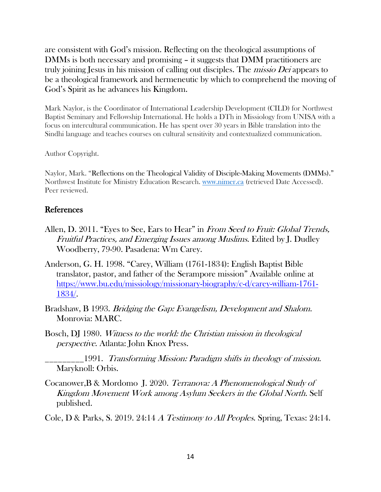are consistent with God's mission. Reflecting on the theological assumptions of DMMs is both necessary and promising – it suggests that DMM practitioners are truly joining Jesus in his mission of calling out disciples. The *missio Dei* appears to be a theological framework and hermeneutic by which to comprehend the moving of God's Spirit as he advances his Kingdom.

Mark Naylor, is the Coordinator of International Leadership Development (CILD) for Northwest Baptist Seminary and Fellowship International. He holds a DTh in Missiology from UNISA with a focus on intercultural communication. He has spent over 30 years in Bible translation into the Sindhi language and teaches courses on cultural sensitivity and contextualized communication.

Author Copyright.

Naylor, Mark. "Reflections on the Theological Validity of Disciple-Making Movements (DMMs)." Northwest Institute for Ministry Education Research. [www.nimer.ca](http://www.nimer.ca/) (retrieved Date Accessed). Peer reviewed.

## References

- Allen, D. 2011. "Eyes to See, Ears to Hear" in From Seed to Fruit: Global Trends, Fruitful Practices, and Emerging Issues among Muslims. Edited by J. Dudley Woodberry, 79-90. Pasadena: Wm Carey.
- Anderson, G. H. 1998. "Carey, William (1761-1834): English Baptist Bible translator, pastor, and father of the Serampore mission" Available online at [https://www.bu.edu/missiology/missionary-biography/c-d/carey-william-1761-](https://www.bu.edu/missiology/missionary-biography/c-d/carey-william-1761-1834/) [1834/.](https://www.bu.edu/missiology/missionary-biography/c-d/carey-william-1761-1834/)
- Bradshaw, B 1993. Bridging the Gap: Evangelism, Development and Shalom. Monrovia: MARC.
- Bosch, DJ 1980. Witness to the world: the Christian mission in theological perspective. Atlanta: John Knox Press.

\_\_\_\_\_\_\_\_\_1991. Transforming Mission: Paradigm shifts in theology of mission. Maryknoll: Orbis.

Cocanower,B & Mordomo J. 2020. Terranova: A Phenomenological Study of Kingdom Movement Work among Asylum Seekers in the Global North. Self published.

Cole, D & Parks, S. 2019. 24:14 A Testimony to All Peoples. Spring, Texas: 24:14.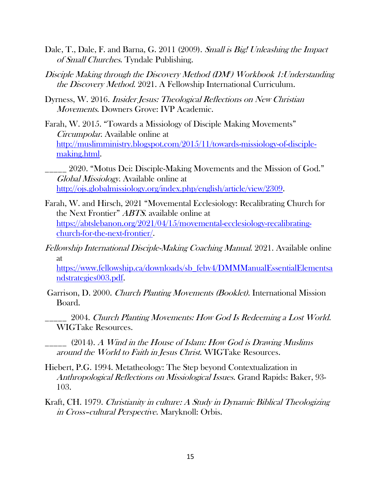- Dale, T., Dale, F. and Barna, G. 2011 (2009). Small is Big! Unleashing the Impact of Small Churches. Tyndale Publishing.
- Disciple Making through the Discovery Method (DM<sup>2</sup> ) Workbook 1:Understanding the Discovery Method. 2021. A Fellowship International Curriculum.
- Dyrness, W. 2016. Insider Jesus: Theological Reflections on New Christian Movements. Downers Grove: IVP Academic.
- Farah, W. 2015. "Towards a Missiology of Disciple Making Movements" Circumpolar. Available online at [http://muslimministry.blogspot.com/2015/11/towards-missiology-of-disciple](http://muslimministry.blogspot.com/2015/11/towards-missiology-of-disciple-making.html)[making.html.](http://muslimministry.blogspot.com/2015/11/towards-missiology-of-disciple-making.html)
- \_\_\_\_\_ 2020. "Motus Dei: Disciple-Making Movements and the Mission of God." Global Missiology. Available online at [http://ojs.globalmissiology.org/index.php/english/article/view/2309.](http://ojs.globalmissiology.org/index.php/english/article/view/2309)
- Farah, W. and Hirsch, 2021 "Movemental Ecclesiology: Recalibrating Church for the Next Frontier" ABTS. available online at [https://abtslebanon.org/2021/04/15/movemental-ecclesiology-recalibrating](https://abtslebanon.org/2021/04/15/movemental-ecclesiology-recalibrating-church-for-the-next-frontier/)[church-for-the-next-frontier/.](https://abtslebanon.org/2021/04/15/movemental-ecclesiology-recalibrating-church-for-the-next-frontier/)
- Fellowship International Disciple-Making Coaching Manual. 2021. Available online at

[https://www.fellowship.ca/downloads/sb\\_febv4/DMMManualEssentialElementsa](https://www.fellowship.ca/downloads/sb_febv4/DMMManualEssentialElementsandstrategies003.pdf) [ndstrategies003.pdf.](https://www.fellowship.ca/downloads/sb_febv4/DMMManualEssentialElementsandstrategies003.pdf)

- Garrison, D. 2000. Church Planting Movements (Booklet). International Mission Board.
- \_\_\_\_\_ 2004. Church Planting Movements: How God Is Redeeming a Lost World. WIGTake Resources.

 $(2014)$ . A Wind in the House of Islam: How God is Drawing Muslims around the World to Faith in Jesus Christ. WIGTake Resources.

- Hiebert, P.G. 1994. Metatheology: The Step beyond Contextualization in Anthropological Reflections on Missiological Issues. Grand Rapids: Baker, 93- 103.
- Kraft, CH. 1979. Christianity in culture: A Study in Dynamic Biblical Theologizing in Cross–cultural Perspective. Maryknoll: Orbis.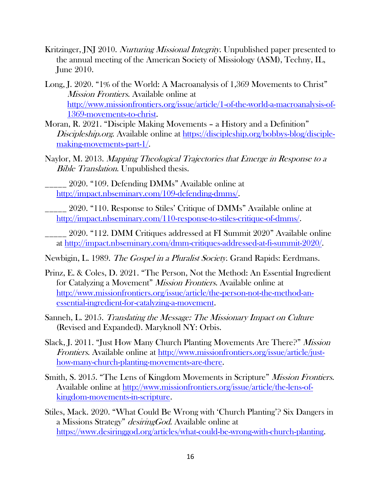- Kritzinger, JNJ 2010. Nurturing Missional Integrity. Unpublished paper presented to the annual meeting of the American Society of Missiology (ASM), Techny, IL, June 2010.
- Long, J. 2020. "1% of the World: A Macroanalysis of 1,369 Movements to Christ" *Mission Frontiers.* Available online at [http://www.missionfrontiers.org/issue/article/1-of-the-world-a-macroanalysis-of-](http://www.missionfrontiers.org/issue/article/1-of-the-world-a-macroanalysis-of-1369-movements-to-christ)[1369-movements-to-christ.](http://www.missionfrontiers.org/issue/article/1-of-the-world-a-macroanalysis-of-1369-movements-to-christ)
- Moran, R. 2021. "Disciple Making Movements a History and a Definition" Discipleship.org. Available online at [https://discipleship.org/bobbys-blog/disciple](https://discipleship.org/bobbys-blog/disciple-making-movements-part-1/)[making-movements-part-1/.](https://discipleship.org/bobbys-blog/disciple-making-movements-part-1/)
- Naylor, M. 2013. Mapping Theological Trajectories that Emerge in Response to a Bible Translation. Unpublished thesis.
- \_\_\_\_\_ 2020. "109. Defending DMMs" Available online at [http://impact.nbseminary.com/109-defending-dmms/.](http://impact.nbseminary.com/109-defending-dmms/)
- \_\_\_\_\_ 2020. "110. Response to Stiles' Critique of DMMs" Available online at [http://impact.nbseminary.com/110-response-to-stiles-critique-of-dmms/.](http://impact.nbseminary.com/110-response-to-stiles-critique-of-dmms/)
- \_\_\_\_\_ 2020. "112. DMM Critiques addressed at FI Summit 2020" Available online at [http://impact.nbseminary.com/dmm-critiques-addressed-at-fi-summit-2020/.](http://impact.nbseminary.com/dmm-critiques-addressed-at-fi-summit-2020/)
- Newbigin, L. 1989. *The Gospel in a Pluralist Society*. Grand Rapids: Eerdmans.
- Prinz, E. & Coles, D. 2021. "The Person, Not the Method: An Essential Ingredient for Catalyzing a Movement" Mission Frontiers. Available online at [http://www.missionfrontiers.org/issue/article/the-person-not-the-method-an](http://www.missionfrontiers.org/issue/article/the-person-not-the-method-an-essential-ingredient-for-catalyzing-a-movement)[essential-ingredient-for-catalyzing-a-movement.](http://www.missionfrontiers.org/issue/article/the-person-not-the-method-an-essential-ingredient-for-catalyzing-a-movement)
- Sanneh, L. 2015. Translating the Message: The Missionary Impact on Culture (Revised and Expanded). Maryknoll NY: Orbis.
- Slack, J. 2011. "Just How Many Church Planting Movements Are There?" Mission Frontiers. Available online at [http://www.missionfrontiers.org/issue/article/just](http://www.missionfrontiers.org/issue/article/just-how-many-church-planting-movements-are-there)[how-many-church-planting-movements-are-there.](http://www.missionfrontiers.org/issue/article/just-how-many-church-planting-movements-are-there)
- Smith, S. 2015. "The Lens of Kingdom Movements in Scripture" Mission Frontiers. Available online at [http://www.missionfrontiers.org/issue/article/the-lens-of](http://www.missionfrontiers.org/issue/article/the-lens-of-kingdom-movements-in-scripture)[kingdom-movements-in-scripture.](http://www.missionfrontiers.org/issue/article/the-lens-of-kingdom-movements-in-scripture)
- Stiles, Mack. 2020. "What Could Be Wrong with 'Church Planting'? Six Dangers in a Missions Strategy" *desiringGod*. Available online at [https://www.desiringgod.org/articles/what-could-be-wrong-with-church-planting.](https://www.desiringgod.org/articles/what-could-be-wrong-with-church-planting)